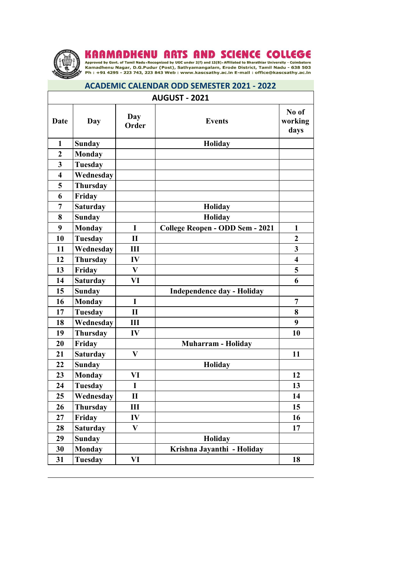

KAAMADHENU ARTS AND SCIENCE COLLEGE<br>Approved by Govt. of Tamil Nadu Recognized by UGC under 2(f) and 12(B) Affiliated to Bharathiar University - Coimbatore<br>Kamadhenu Nagar, D.G.Pudur (Post), Sathyamangalam, Erode District,

## **ACADEMIC CALENDAR ODD SEMESTER 2021 - 2022**

| <b>AUGUST - 2021</b>    |                 |              |                                   |                          |  |
|-------------------------|-----------------|--------------|-----------------------------------|--------------------------|--|
| Date                    | Day             | Day<br>Order | <b>Events</b>                     | No of<br>working<br>days |  |
| $\mathbf{1}$            | <b>Sunday</b>   |              | <b>Holiday</b>                    |                          |  |
| $\overline{2}$          | <b>Monday</b>   |              |                                   |                          |  |
| $\overline{\mathbf{3}}$ | <b>Tuesday</b>  |              |                                   |                          |  |
| $\overline{\mathbf{4}}$ | Wednesday       |              |                                   |                          |  |
| 5                       | <b>Thursday</b> |              |                                   |                          |  |
| 6                       | Friday          |              |                                   |                          |  |
| 7                       | <b>Saturday</b> |              | <b>Holiday</b>                    |                          |  |
| 8                       | <b>Sunday</b>   |              | <b>Holiday</b>                    |                          |  |
| 9                       | <b>Monday</b>   | $\mathbf I$  | College Reopen - ODD Sem - 2021   | $\mathbf{1}$             |  |
| 10                      | <b>Tuesday</b>  | $\mathbf{I}$ |                                   | $\boldsymbol{2}$         |  |
| 11                      | Wednesday       | III          |                                   | 3                        |  |
| 12                      | Thursday        | IV           |                                   | $\overline{\mathbf{4}}$  |  |
| 13                      | Friday          | V            |                                   | 5                        |  |
| 14                      | <b>Saturday</b> | VI           |                                   | 6                        |  |
| 15                      | <b>Sunday</b>   |              | <b>Independence day - Holiday</b> |                          |  |
| 16                      | <b>Monday</b>   | $\mathbf{I}$ |                                   | $\overline{7}$           |  |
| 17                      | <b>Tuesday</b>  | $\mathbf{I}$ |                                   | 8                        |  |
| 18                      | Wednesday       | Ш            |                                   | 9                        |  |
| 19                      | Thursday        | IV           |                                   | 10                       |  |
| 20                      | Friday          |              | <b>Muharram - Holiday</b>         |                          |  |
| 21                      | <b>Saturday</b> | V            |                                   | 11                       |  |
| 22                      | <b>Sunday</b>   |              | Holiday                           |                          |  |
| 23                      | <b>Monday</b>   | VI           |                                   | 12                       |  |
| 24                      | <b>Tuesday</b>  | I            |                                   | 13                       |  |
| 25                      | Wednesday       | $\mathbf H$  |                                   | 14                       |  |
| 26                      | Thursday        | Ш            |                                   | 15                       |  |
| 27                      | Friday          | IV           |                                   | 16                       |  |
| 28                      | <b>Saturday</b> | V            |                                   | 17                       |  |
| 29                      | <b>Sunday</b>   |              | <b>Holiday</b>                    |                          |  |
| 30                      | <b>Monday</b>   |              | Krishna Jayanthi - Holiday        |                          |  |
| 31                      | <b>Tuesday</b>  | VI           |                                   | 18                       |  |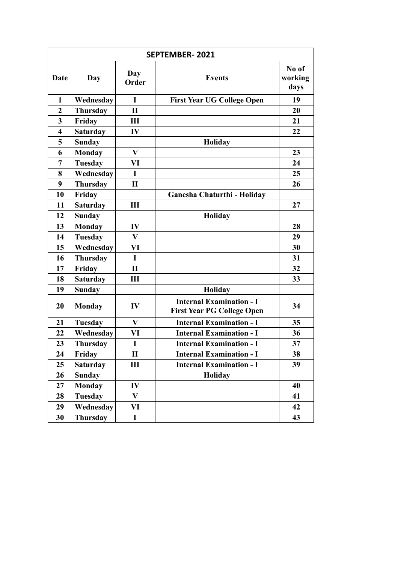|                         | <b>SEPTEMBER-2021</b> |              |                                                                      |                          |
|-------------------------|-----------------------|--------------|----------------------------------------------------------------------|--------------------------|
| Date                    | Day                   | Day<br>Order | <b>Events</b>                                                        | No of<br>working<br>days |
| $\mathbf{1}$            | Wednesday             | $\mathbf I$  | <b>First Year UG College Open</b>                                    | 19                       |
| $\boldsymbol{2}$        | <b>Thursday</b>       | $\mathbf{I}$ |                                                                      | 20                       |
| $\overline{\mathbf{3}}$ | Friday                | III          |                                                                      | 21                       |
| $\overline{\mathbf{4}}$ | <b>Saturday</b>       | IV           |                                                                      | 22                       |
| 5                       | <b>Sunday</b>         |              | Holiday                                                              |                          |
| 6                       | <b>Monday</b>         | $\mathbf{V}$ |                                                                      | 23                       |
| 7                       | Tuesday               | VI           |                                                                      | 24                       |
| 8                       | Wednesday             | $\mathbf I$  |                                                                      | 25                       |
| 9                       | <b>Thursday</b>       | $\mathbf{I}$ |                                                                      | 26                       |
| 10                      | Friday                |              | Ganesha Chaturthi - Holiday                                          |                          |
| 11                      | <b>Saturday</b>       | III          |                                                                      | 27                       |
| 12                      | <b>Sunday</b>         |              | Holiday                                                              |                          |
| 13                      | <b>Monday</b>         | IV           |                                                                      | 28                       |
| 14                      | <b>Tuesday</b>        | V            |                                                                      | 29                       |
| 15                      | Wednesday             | VI           |                                                                      | 30                       |
| 16                      | Thursday              | $\mathbf I$  |                                                                      | 31                       |
| 17                      | Friday                | $\mathbf{I}$ |                                                                      | 32                       |
| 18                      | <b>Saturday</b>       | Ш            |                                                                      | 33                       |
| 19                      | <b>Sunday</b>         |              | Holiday                                                              |                          |
| 20                      | <b>Monday</b>         | IV           | <b>Internal Examination - I</b><br><b>First Year PG College Open</b> | 34                       |
| 21                      | Tuesday               | V            | <b>Internal Examination - I</b>                                      | 35                       |
| 22                      | Wednesday             | VI           | <b>Internal Examination - I</b>                                      | 36                       |
| 23                      | Thursday              | I            | <b>Internal Examination - I</b>                                      | 37                       |
| 24                      | Friday                | П            | <b>Internal Examination - I</b>                                      | 38                       |
| 25                      | <b>Saturday</b>       | Ш            | <b>Internal Examination - I</b>                                      | 39                       |
| 26                      | <b>Sunday</b>         |              | Holiday                                                              |                          |
| 27                      | <b>Monday</b>         | IV           |                                                                      | 40                       |
| 28                      | <b>Tuesday</b>        | V            |                                                                      | 41                       |
| 29                      | Wednesday             | VI           |                                                                      | 42                       |
| 30                      | <b>Thursday</b>       | $\mathbf I$  |                                                                      | 43                       |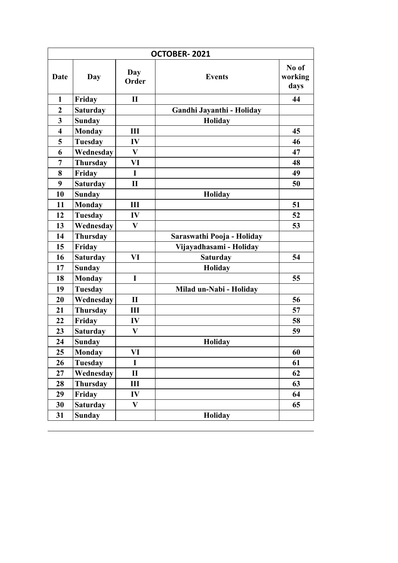| OCTOBER-2021            |                 |              |                            |                          |
|-------------------------|-----------------|--------------|----------------------------|--------------------------|
| Date                    | Day             | Day<br>Order | <b>Events</b>              | No of<br>working<br>days |
| 1                       | Friday          | $\mathbf{I}$ |                            | 44                       |
| $\boldsymbol{2}$        | <b>Saturday</b> |              | Gandhi Jayanthi - Holiday  |                          |
| 3                       | <b>Sunday</b>   |              | <b>Holiday</b>             |                          |
| $\overline{\mathbf{4}}$ | <b>Monday</b>   | Ш            |                            | 45                       |
| 5                       | <b>Tuesday</b>  | IV           |                            | 46                       |
| 6                       | Wednesday       | V            |                            | 47                       |
| 7                       | <b>Thursday</b> | VI           |                            | 48                       |
| 8                       | Friday          | I            |                            | 49                       |
| $\boldsymbol{9}$        | <b>Saturday</b> | $\mathbf{I}$ |                            | 50                       |
| 10                      | <b>Sunday</b>   |              | Holiday                    |                          |
| 11                      | <b>Monday</b>   | III          |                            | 51                       |
| 12                      | <b>Tuesday</b>  | IV           |                            | 52                       |
| 13                      | Wednesday       | $\mathbf{V}$ |                            | 53                       |
| 14                      | <b>Thursday</b> |              | Saraswathi Pooja - Holiday |                          |
| 15                      | Friday          |              | Vijayadhasami - Holiday    |                          |
| 16                      | <b>Saturday</b> | VI           | <b>Saturday</b>            | 54                       |
| 17                      | <b>Sunday</b>   |              | Holiday                    |                          |
| 18                      | <b>Monday</b>   | I            |                            | 55                       |
| 19                      | <b>Tuesday</b>  |              | Milad un-Nabi - Holiday    |                          |
| 20                      | Wednesday       | $\mathbf{I}$ |                            | 56                       |
| 21                      | <b>Thursday</b> | III          |                            | 57                       |
| 22                      | Friday          | IV           |                            | 58                       |
| 23                      | <b>Saturday</b> | $\mathbf{V}$ |                            | 59                       |
| 24                      | <b>Sunday</b>   |              | Holiday                    |                          |
| 25                      | <b>Monday</b>   | VI           |                            | 60                       |
| 26                      | <b>Tuesday</b>  | $\mathbf I$  |                            | 61                       |
| 27                      | Wednesday       | $\mathbf{I}$ |                            | 62                       |
| 28                      | Thursday        | Ш            |                            | 63                       |
| 29                      | Friday          | IV           |                            | 64                       |
| 30                      | <b>Saturday</b> | V            |                            | 65                       |
| 31                      | <b>Sunday</b>   |              | Holiday                    |                          |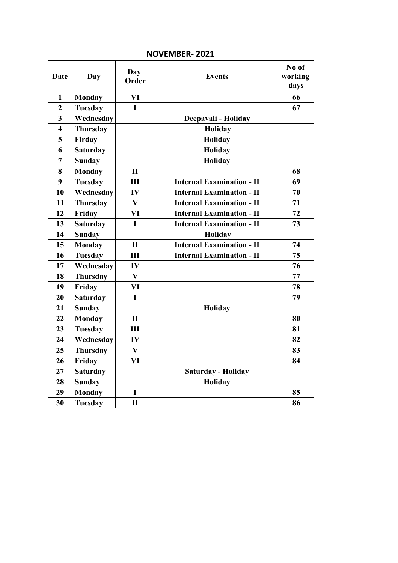| <b>NOVEMBER-2021</b>    |                 |              |                                  |                          |
|-------------------------|-----------------|--------------|----------------------------------|--------------------------|
| Date                    | Day             | Day<br>Order | <b>Events</b>                    | No of<br>working<br>days |
| $\mathbf{1}$            | <b>Monday</b>   | VI           |                                  | 66                       |
| $\boldsymbol{2}$        | <b>Tuesday</b>  | I            |                                  | 67                       |
| $\mathbf{3}$            | Wednesday       |              | Deepavali - Holiday              |                          |
| $\overline{\mathbf{4}}$ | <b>Thursday</b> |              | Holiday                          |                          |
| 5                       | Firday          |              | <b>Holiday</b>                   |                          |
| 6                       | <b>Saturday</b> |              | Holiday                          |                          |
| $\overline{7}$          | <b>Sunday</b>   |              | Holiday                          |                          |
| 8                       | <b>Monday</b>   | $\mathbf{I}$ |                                  | 68                       |
| 9                       | <b>Tuesday</b>  | Ш            | <b>Internal Examination - II</b> | 69                       |
| 10                      | Wednesday       | IV           | <b>Internal Examination - II</b> | 70                       |
| 11                      | <b>Thursday</b> | V            | <b>Internal Examination - II</b> | 71                       |
| 12                      | Friday          | VI           | <b>Internal Examination - II</b> | 72                       |
| 13                      | <b>Saturday</b> | I            | <b>Internal Examination - II</b> | 73                       |
| 14                      | <b>Sunday</b>   |              | Holiday                          |                          |
| 15                      | <b>Monday</b>   | $\mathbf{I}$ | <b>Internal Examination - II</b> | 74                       |
| 16                      | <b>Tuesday</b>  | Ш            | <b>Internal Examination - II</b> | 75                       |
| 17                      | Wednesday       | IV           |                                  | 76                       |
| 18                      | <b>Thursday</b> | $\bf{V}$     |                                  | 77                       |
| 19                      | Friday          | VI           |                                  | 78                       |
| 20                      | <b>Saturday</b> | $\mathbf I$  |                                  | 79                       |
| 21                      | <b>Sunday</b>   |              | Holiday                          |                          |
| 22                      | <b>Monday</b>   | П            |                                  | 80                       |
| 23                      | <b>Tuesday</b>  | III          |                                  | 81                       |
| 24                      | Wednesday       | IV           |                                  | 82                       |
| 25                      | Thursday        | V            |                                  | 83                       |
| 26                      | Friday          | VI           |                                  | 84                       |
| 27                      | <b>Saturday</b> |              | Saturday - Holiday               |                          |
| 28                      | <b>Sunday</b>   |              | Holiday                          |                          |
| 29                      | <b>Monday</b>   | $\mathbf I$  |                                  | 85                       |
| 30                      | Tuesday         | П            |                                  | 86                       |